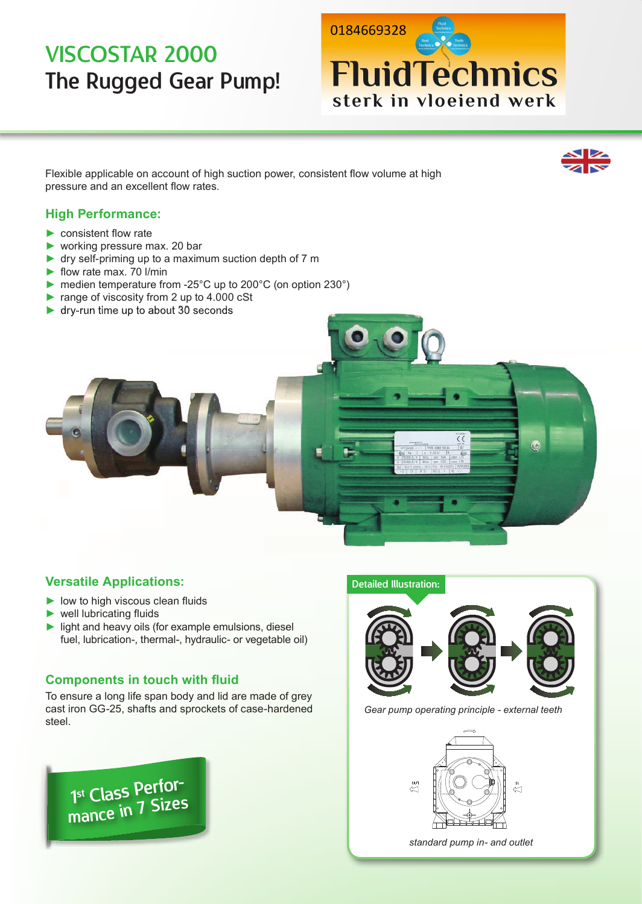# VISCOSTAR 2000 The Rugged Gear Pump!



Flexible applicable on account of high suction power, consistent flow volume at high pressure and an excellent flow rates.

## **High Performance:**

- $\blacktriangleright$  consistent flow rate
- ► working pressure max. 20 bar
- $\triangleright$  dry self-priming up to a maximum suction depth of 7 m
- $\blacktriangleright$  flow rate max. 70 l/min
- ► medien temperature from -25°C up to 200°C (on option 230°)
- ► range of viscosity from 2 up to 4.000 cSt
- ► dry-run time up to about 30 seconds



### **Versatile Applications:**

- $\blacktriangleright$  low to high viscous clean fluids
- $\blacktriangleright$  well lubricating fluids
- $\blacktriangleright$  light and heavy oils (for example emulsions, diesel fuel, lubrication-, thermal-, hydraulic- or vegetable oil)

### **Components in touch with fluid**

To ensure a long life span body and lid are made of grey cast iron GG-25, shafts and sprockets of case-hardened steel.



#### Detailed Illustration:



*Gear pump operating principle - external teeth*



*standard pump in- and outlet*